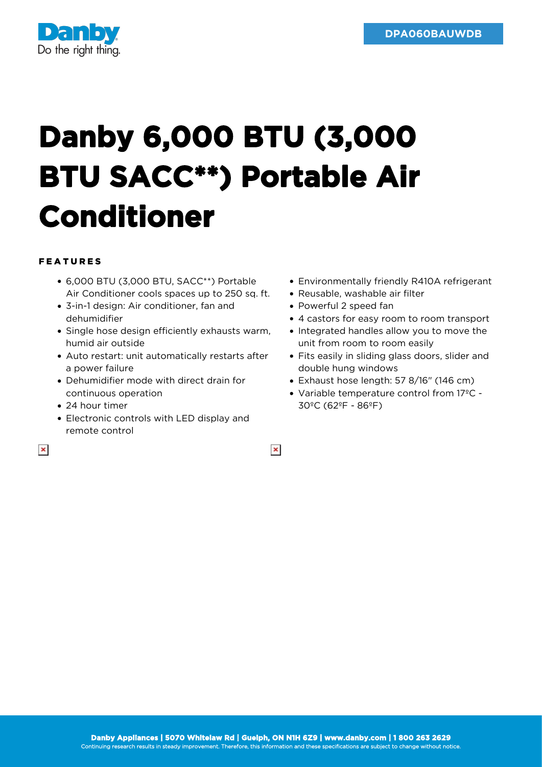

## **Danby 6,000 BTU (3,000 BTU SACC\*\*) Portable Air Conditioner**

## FEATURES

- 6,000 BTU (3,000 BTU, SACC\*\*) Portable Air Conditioner cools spaces up to 250 sq. ft.
- 3-in-1 design: Air conditioner, fan and dehumidifier
- Single hose design efficiently exhausts warm, humid air outside
- Auto restart: unit automatically restarts after a power failure
- Dehumidifier mode with direct drain for continuous operation
- 24 hour timer
- Electronic controls with LED display and remote control
- $\pmb{\times}$
- Environmentally friendly R410A refrigerant
- Reusable, washable air filter
- Powerful 2 speed fan
- 4 castors for easy room to room transport
- Integrated handles allow you to move the unit from room to room easily
- Fits easily in sliding glass doors, slider and double hung windows
- Exhaust hose length: 57 8/16" (146 cm)
- Variable temperature control from 17ºC 30ºC (62ºF - 86ºF)

 $\pmb{\times}$